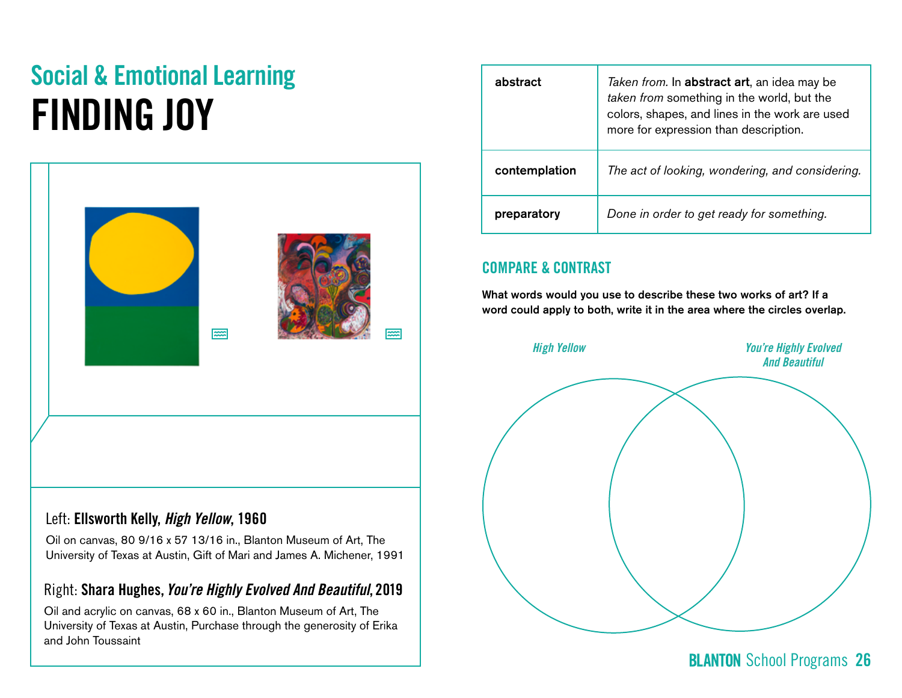# Social & Emotional Learning FINDING JOY



### Left: Ellsworth Kelly, *High Yellow*, 1960

Oil on canvas, 80 9/16 x 57 13/16 in., Blanton Museum of Art, The University of Texas at Austin, Gift of Mari and James A. Michener, 1991

### Right: Shara Hughes, *You're Highly Evolved And Beautiful*, 2019

Oil and acrylic on canvas, 68 x 60 in., Blanton Museum of Art, The University of Texas at Austin, Purchase through the generosity of Erika and John Toussaint

| abstract      | Taken from. In abstract art, an idea may be<br>taken from something in the world, but the<br>colors, shapes, and lines in the work are used<br>more for expression than description. |
|---------------|--------------------------------------------------------------------------------------------------------------------------------------------------------------------------------------|
| contemplation | The act of looking, wondering, and considering.                                                                                                                                      |
| preparatory   | Done in order to get ready for something.                                                                                                                                            |

## COMPARE & CONTRAST

What words would you use to describe these two works of art? If a word could apply to both, write it in the area where the circles overlap.



**BLANTON** School Programs 26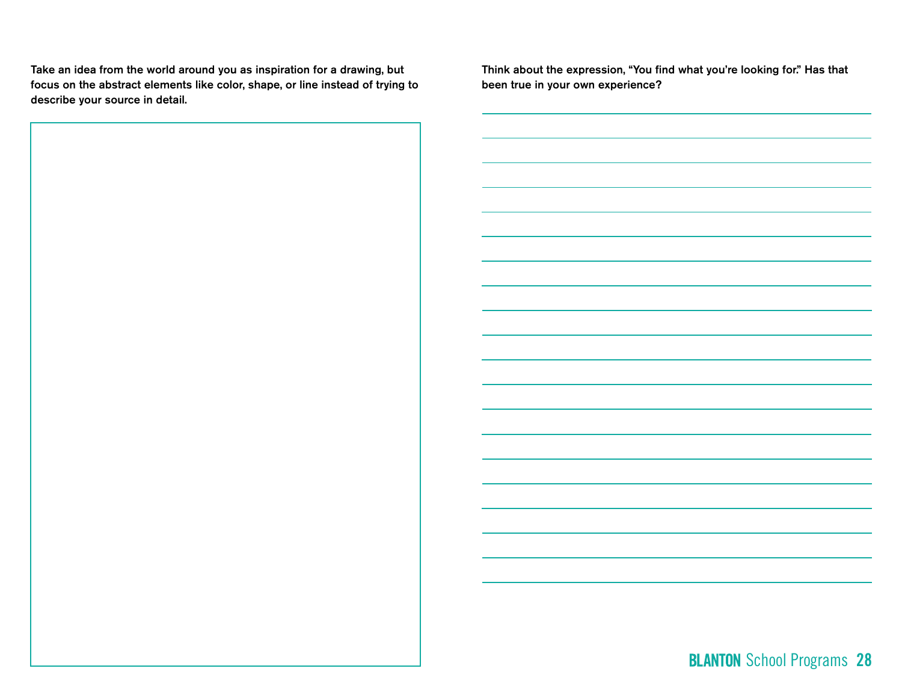Take an idea from the world around you as inspiration for a drawing, but focus on the abstract elements like color, shape, or line instead of trying to describe your source in detail.

Think about the expression, "You find what you're looking for." Has that been true in your own experience?